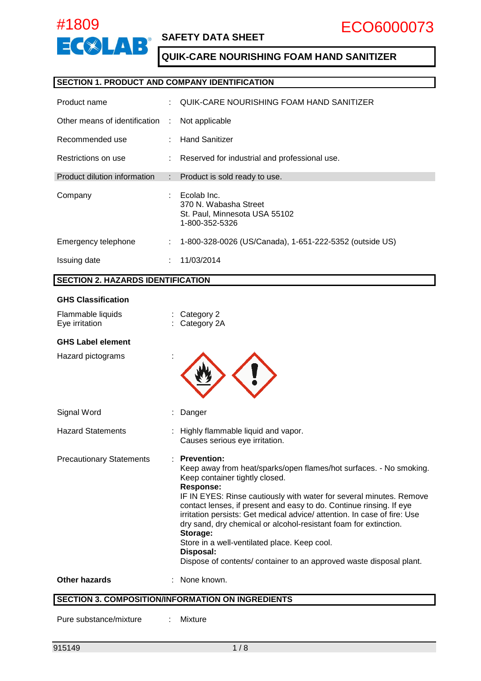

### **SAFETY DATA SHEET**

### **QUIK-CARE NOURISHING FOAM HAND SANITIZER**

#### **SECTION 1. PRODUCT AND COMPANY IDENTIFICATION**

| Product name                  |                           | QUIK-CARE NOURISHING FOAM HAND SANITIZER                                                |
|-------------------------------|---------------------------|-----------------------------------------------------------------------------------------|
| Other means of identification | ÷                         | Not applicable                                                                          |
| Recommended use               |                           | <b>Hand Sanitizer</b>                                                                   |
| Restrictions on use           |                           | Reserved for industrial and professional use.                                           |
| Product dilution information  | $\mathbb{Z}^{\mathbb{Z}}$ | Product is sold ready to use.                                                           |
| Company                       | ÷                         | Ecolab Inc.<br>370 N. Wabasha Street<br>St. Paul, Minnesota USA 55102<br>1-800-352-5326 |
| Emergency telephone           | ÷.                        | 1-800-328-0026 (US/Canada), 1-651-222-5352 (outside US)                                 |
| Issuing date                  | ÷                         | 11/03/2014                                                                              |

#### **SECTION 2. HAZARDS IDENTIFICATION**

### **GHS Classification**

| Flammable liquids<br>Eye irritation | Category 2<br>Category 2A                                                                                                                                                                                                                                                                                                                                                                                                                                                                                                                                                                    |
|-------------------------------------|----------------------------------------------------------------------------------------------------------------------------------------------------------------------------------------------------------------------------------------------------------------------------------------------------------------------------------------------------------------------------------------------------------------------------------------------------------------------------------------------------------------------------------------------------------------------------------------------|
| <b>GHS Label element</b>            |                                                                                                                                                                                                                                                                                                                                                                                                                                                                                                                                                                                              |
| Hazard pictograms                   |                                                                                                                                                                                                                                                                                                                                                                                                                                                                                                                                                                                              |
| Signal Word                         | Danger                                                                                                                                                                                                                                                                                                                                                                                                                                                                                                                                                                                       |
| <b>Hazard Statements</b>            | : Highly flammable liquid and vapor.<br>Causes serious eye irritation.                                                                                                                                                                                                                                                                                                                                                                                                                                                                                                                       |
| <b>Precautionary Statements</b>     | <b>Prevention:</b><br>Keep away from heat/sparks/open flames/hot surfaces. - No smoking.<br>Keep container tightly closed.<br><b>Response:</b><br>IF IN EYES: Rinse cautiously with water for several minutes. Remove<br>contact lenses, if present and easy to do. Continue rinsing. If eye<br>irritation persists: Get medical advice/ attention. In case of fire: Use<br>dry sand, dry chemical or alcohol-resistant foam for extinction.<br>Storage:<br>Store in a well-ventilated place. Keep cool.<br>Disposal:<br>Dispose of contents/ container to an approved waste disposal plant. |
| <b>Other hazards</b>                | None known.                                                                                                                                                                                                                                                                                                                                                                                                                                                                                                                                                                                  |

### **SECTION 3. COMPOSITION/INFORMATION ON INGREDIENTS**

Pure substance/mixture : Mixture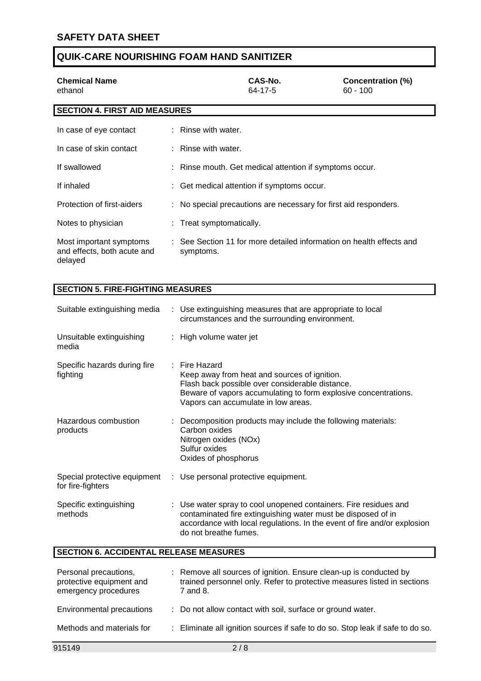| <b>Chemical Name</b><br>ethanol                                   |                          | CAS-No.<br>64-17-5                                                   | Concentration (%)<br>$60 - 100$ |
|-------------------------------------------------------------------|--------------------------|----------------------------------------------------------------------|---------------------------------|
| <b>SECTION 4. FIRST AID MEASURES</b>                              |                          |                                                                      |                                 |
| In case of eye contact                                            | $:$ Rinse with water.    |                                                                      |                                 |
| In case of skin contact                                           | : Rinse with water.      |                                                                      |                                 |
| If swallowed                                                      |                          | : Rinse mouth. Get medical attention if symptoms occur.              |                                 |
| If inhaled                                                        |                          | : Get medical attention if symptoms occur.                           |                                 |
| Protection of first-aiders                                        |                          | : No special precautions are necessary for first aid responders.     |                                 |
| Notes to physician                                                | : Treat symptomatically. |                                                                      |                                 |
| Most important symptoms<br>and effects, both acute and<br>delayed | symptoms.                | : See Section 11 for more detailed information on health effects and |                                 |

### **SECTION 5. FIRE-FIGHTING MEASURES**

| Suitable extinguishing media                  | : Use extinguishing measures that are appropriate to local<br>circumstances and the surrounding environment.                                                                                                                          |
|-----------------------------------------------|---------------------------------------------------------------------------------------------------------------------------------------------------------------------------------------------------------------------------------------|
| Unsuitable extinguishing<br>media             | : High volume water jet                                                                                                                                                                                                               |
| Specific hazards during fire<br>fighting      | $:$ Fire Hazard<br>Keep away from heat and sources of ignition.<br>Flash back possible over considerable distance.<br>Beware of vapors accumulating to form explosive concentrations.<br>Vapors can accumulate in low areas.          |
| Hazardous combustion<br>products              | Decomposition products may include the following materials:<br>Carbon oxides<br>Nitrogen oxides (NOx)<br>Sulfur oxides<br>Oxides of phosphorus                                                                                        |
| for fire-fighters                             | Special protective equipment : Use personal protective equipment.                                                                                                                                                                     |
| Specific extinguishing<br>methods             | : Use water spray to cool unopened containers. Fire residues and<br>contaminated fire extinguishing water must be disposed of in<br>accordance with local regulations. In the event of fire and/or explosion<br>do not breathe fumes. |
| <b>SECTION 6. ACCIDENTAL RELEASE MEASURES</b> |                                                                                                                                                                                                                                       |
|                                               |                                                                                                                                                                                                                                       |

| Personal precautions,<br>protective equipment and<br>emergency procedures | : Remove all sources of ignition. Ensure clean-up is conducted by<br>trained personnel only. Refer to protective measures listed in sections<br>7 and 8. |
|---------------------------------------------------------------------------|----------------------------------------------------------------------------------------------------------------------------------------------------------|
| Environmental precautions                                                 | : Do not allow contact with soil, surface or ground water.                                                                                               |
| Methods and materials for                                                 | : Eliminate all ignition sources if safe to do so. Stop leak if safe to do so.                                                                           |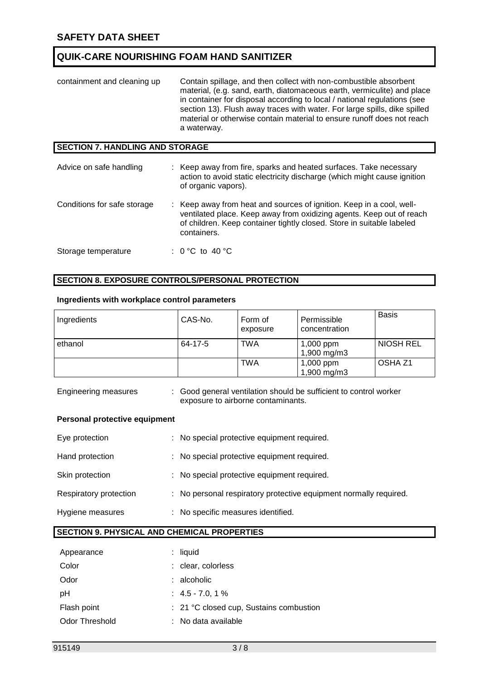| containment and cleaning up            | Contain spillage, and then collect with non-combustible absorbent<br>material, (e.g. sand, earth, diatomaceous earth, vermiculite) and place<br>in container for disposal according to local / national regulations (see<br>section 13). Flush away traces with water. For large spills, dike spilled<br>material or otherwise contain material to ensure runoff does not reach<br>a waterway. |
|----------------------------------------|------------------------------------------------------------------------------------------------------------------------------------------------------------------------------------------------------------------------------------------------------------------------------------------------------------------------------------------------------------------------------------------------|
| <b>SECTION 7. HANDLING AND STORAGE</b> |                                                                                                                                                                                                                                                                                                                                                                                                |
| Advice on safe handling                | : Keep away from fire, sparks and heated surfaces. Take necessary<br>action to avoid static electricity discharge (which might cause ignition<br>of organic vapors).                                                                                                                                                                                                                           |
| Conditions for safe storage            | : Keep away from heat and sources of ignition. Keep in a cool, well-<br>ventilated place. Keep away from oxidizing agents. Keep out of reach<br>of children. Keep container tightly closed. Store in suitable labeled<br>containers.                                                                                                                                                           |
| Storage temperature                    | : 0 °C to 40 °C                                                                                                                                                                                                                                                                                                                                                                                |

#### **SECTION 8. EXPOSURE CONTROLS/PERSONAL PROTECTION**

#### **Ingredients with workplace control parameters**

| Ingredients | CAS-No. | Form of<br>exposure | Permissible<br>concentration | <b>Basis</b>     |
|-------------|---------|---------------------|------------------------------|------------------|
| ethanol     | 64-17-5 | <b>TWA</b>          | 1,000 ppm<br>1,900 mg/m3     | <b>NIOSH REL</b> |
|             |         | TWA                 | 1,000 ppm<br>1,900 mg/m3     | OSHA Z1          |

Engineering measures : Good general ventilation should be sufficient to control worker exposure to airborne contaminants.

#### **Personal protective equipment**

| Eye protection         | : No special protective equipment required.                       |
|------------------------|-------------------------------------------------------------------|
| Hand protection        | : No special protective equipment required.                       |
| Skin protection        | : No special protective equipment required.                       |
| Respiratory protection | : No personal respiratory protective equipment normally required. |
| Hygiene measures       | : No specific measures identified.                                |

#### **SECTION 9. PHYSICAL AND CHEMICAL PROPERTIES**

| Appearance            |    | $:$ liquid                              |
|-----------------------|----|-----------------------------------------|
| Color                 |    | : clear, colorless                      |
| Odor                  |    | : alcoholic                             |
| рH                    |    | $: 4.5 - 7.0, 1\%$                      |
| Flash point           |    | : 21 °C closed cup, Sustains combustion |
| <b>Odor Threshold</b> | t. | No data available                       |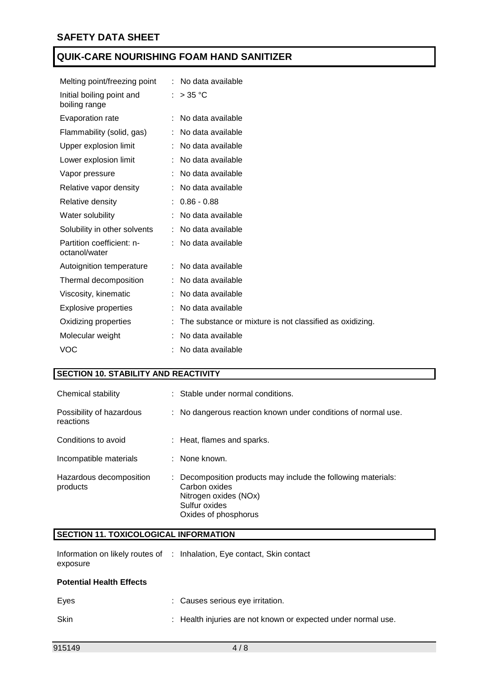| Melting point/freezing point               | : No data available                                      |
|--------------------------------------------|----------------------------------------------------------|
| Initial boiling point and<br>boiling range | : $>35^{\circ}$ C                                        |
| Evaporation rate                           | : No data available                                      |
| Flammability (solid, gas)                  | : No data available                                      |
| Upper explosion limit                      | : No data available                                      |
| Lower explosion limit                      | No data available                                        |
| Vapor pressure                             | No data available                                        |
| Relative vapor density                     | No data available                                        |
| Relative density                           | $: 0.86 - 0.88$                                          |
| Water solubility                           | No data available                                        |
| Solubility in other solvents               | No data available                                        |
| Partition coefficient: n-<br>octanol/water | : No data available                                      |
| Autoignition temperature                   | : No data available                                      |
| Thermal decomposition                      | No data available                                        |
| Viscosity, kinematic                       | No data available                                        |
| <b>Explosive properties</b>                | No data available                                        |
| Oxidizing properties                       | The substance or mixture is not classified as oxidizing. |
| Molecular weight                           | No data available                                        |
| <b>VOC</b>                                 | No data available                                        |

#### **SECTION 10. STABILITY AND REACTIVITY**

| Chemical stability                    | : Stable under normal conditions.                                                                                                                |
|---------------------------------------|--------------------------------------------------------------------------------------------------------------------------------------------------|
| Possibility of hazardous<br>reactions | : No dangerous reaction known under conditions of normal use.                                                                                    |
| Conditions to avoid                   | : Heat, flames and sparks.                                                                                                                       |
| Incompatible materials                | : None known.                                                                                                                                    |
| Hazardous decomposition<br>products   | : Decomposition products may include the following materials:<br>Carbon oxides<br>Nitrogen oxides (NOx)<br>Sulfur oxides<br>Oxides of phosphorus |

#### **SECTION 11. TOXICOLOGICAL INFORMATION**

|          | Information on likely routes of : Inhalation, Eye contact, Skin contact |
|----------|-------------------------------------------------------------------------|
| exposure |                                                                         |

#### **Potential Health Effects**

| Eves | : Causes serious eve irritation.                              |
|------|---------------------------------------------------------------|
| Skin | : Health injuries are not known or expected under normal use. |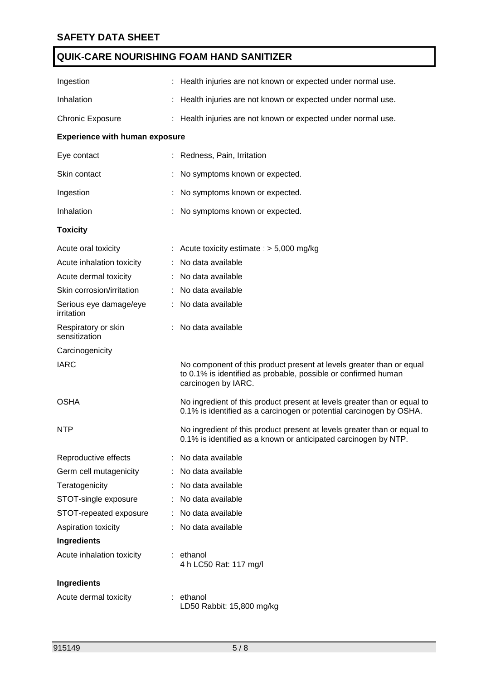| Ingestion                             |    | : Health injuries are not known or expected under normal use.                                                                                                 |  |  |  |
|---------------------------------------|----|---------------------------------------------------------------------------------------------------------------------------------------------------------------|--|--|--|
| Inhalation                            |    | : Health injuries are not known or expected under normal use.                                                                                                 |  |  |  |
| <b>Chronic Exposure</b>               |    | : Health injuries are not known or expected under normal use.                                                                                                 |  |  |  |
| <b>Experience with human exposure</b> |    |                                                                                                                                                               |  |  |  |
| Eye contact                           |    | : Redness, Pain, Irritation                                                                                                                                   |  |  |  |
| Skin contact                          |    | No symptoms known or expected.                                                                                                                                |  |  |  |
| Ingestion                             |    | No symptoms known or expected.                                                                                                                                |  |  |  |
| Inhalation                            |    | No symptoms known or expected.                                                                                                                                |  |  |  |
| <b>Toxicity</b>                       |    |                                                                                                                                                               |  |  |  |
| Acute oral toxicity                   |    | : Acute toxicity estimate : $> 5,000$ mg/kg                                                                                                                   |  |  |  |
| Acute inhalation toxicity             |    | No data available                                                                                                                                             |  |  |  |
| Acute dermal toxicity                 |    | : No data available                                                                                                                                           |  |  |  |
| Skin corrosion/irritation             |    | : No data available                                                                                                                                           |  |  |  |
| Serious eye damage/eye<br>irritation  | ÷. | No data available                                                                                                                                             |  |  |  |
| Respiratory or skin<br>sensitization  |    | : No data available                                                                                                                                           |  |  |  |
| Carcinogenicity                       |    |                                                                                                                                                               |  |  |  |
| <b>IARC</b>                           |    | No component of this product present at levels greater than or equal<br>to 0.1% is identified as probable, possible or confirmed human<br>carcinogen by IARC. |  |  |  |
| <b>OSHA</b>                           |    | No ingredient of this product present at levels greater than or equal to<br>0.1% is identified as a carcinogen or potential carcinogen by OSHA.               |  |  |  |
| <b>NTP</b>                            |    | No ingredient of this product present at levels greater than or equal to<br>0.1% is identified as a known or anticipated carcinogen by NTP.                   |  |  |  |
| Reproductive effects                  |    | No data available                                                                                                                                             |  |  |  |
| Germ cell mutagenicity                |    | No data available                                                                                                                                             |  |  |  |
| Teratogenicity                        |    | No data available                                                                                                                                             |  |  |  |
| STOT-single exposure                  | ÷. | No data available                                                                                                                                             |  |  |  |
| STOT-repeated exposure                |    | : No data available                                                                                                                                           |  |  |  |
| Aspiration toxicity                   |    | No data available                                                                                                                                             |  |  |  |
| Ingredients                           |    |                                                                                                                                                               |  |  |  |
| Acute inhalation toxicity             |    | : ethanol<br>4 h LC50 Rat: 117 mg/l                                                                                                                           |  |  |  |
| Ingredients                           |    |                                                                                                                                                               |  |  |  |
| Acute dermal toxicity                 |    | : ethanol<br>LD50 Rabbit: 15,800 mg/kg                                                                                                                        |  |  |  |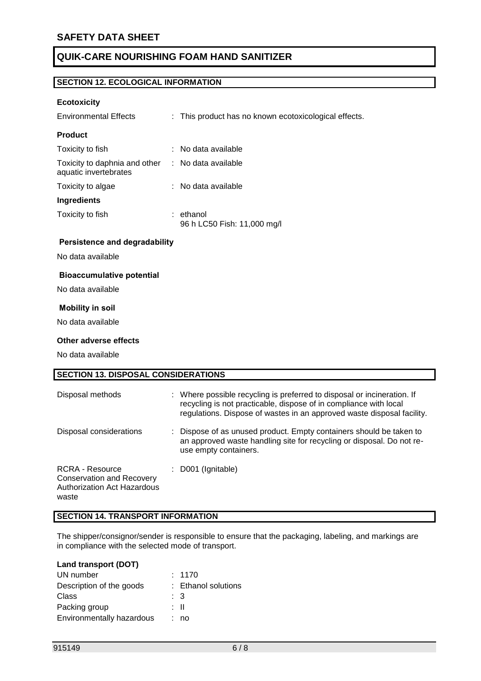#### **SECTION 12. ECOLOGICAL INFORMATION**

#### **Ecotoxicity**

| <b>Environmental Effects</b>                           | : This product has no known ecotoxicological effects. |
|--------------------------------------------------------|-------------------------------------------------------|
| <b>Product</b>                                         |                                                       |
| Toxicity to fish                                       | $:$ No data available                                 |
| Toxicity to daphnia and other<br>aquatic invertebrates | $:$ No data available                                 |
| Toxicity to algae                                      | $:$ No data available                                 |
| <b>Ingredients</b>                                     |                                                       |
| Toxicity to fish                                       | : ethanol<br>96 h LC50 Fish: 11,000 mg/l              |
| .                                                      |                                                       |

#### **Persistence and degradability**

No data available

#### **Bioaccumulative potential**

No data available

#### **Mobility in soil**

No data available

#### **Other adverse effects**

No data available

| <b>SECTION 13. DISPOSAL CONSIDERATIONS</b>                                                  |                                                                                                                                                                                                                        |  |
|---------------------------------------------------------------------------------------------|------------------------------------------------------------------------------------------------------------------------------------------------------------------------------------------------------------------------|--|
| Disposal methods                                                                            | : Where possible recycling is preferred to disposal or incineration. If<br>recycling is not practicable, dispose of in compliance with local<br>regulations. Dispose of wastes in an approved waste disposal facility. |  |
| Disposal considerations                                                                     | : Dispose of as unused product. Empty containers should be taken to<br>an approved waste handling site for recycling or disposal. Do not re-<br>use empty containers.                                                  |  |
| RCRA - Resource<br><b>Conservation and Recovery</b><br>Authorization Act Hazardous<br>waste | D001 (Ignitable)                                                                                                                                                                                                       |  |

#### **SECTION 14. TRANSPORT INFORMATION**

The shipper/consignor/sender is responsible to ensure that the packaging, labeling, and markings are in compliance with the selected mode of transport.

#### **Land transport (DOT)**

| UN number                 | : 1170              |
|---------------------------|---------------------|
| Description of the goods  | : Ethanol solutions |
| Class                     | : 3                 |
| Packing group             | : II                |
| Environmentally hazardous | : no                |
|                           |                     |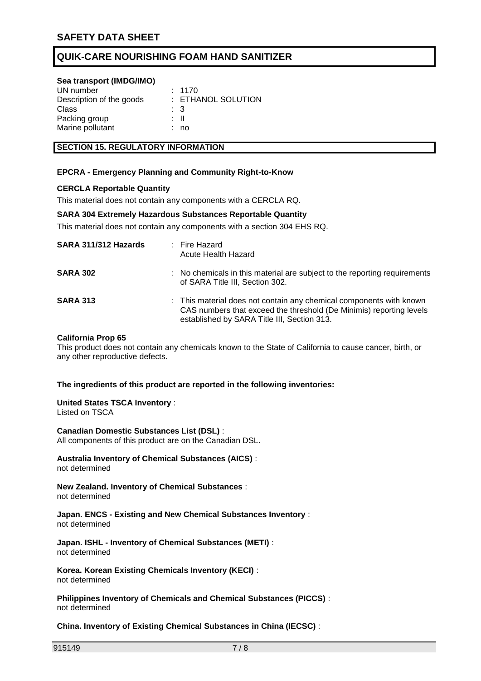#### **Sea transport (IMDG/IMO)**

| : 1170             |
|--------------------|
| : ETHANOL SOLUTION |
| - 3                |
| ÷ II               |
| no                 |
|                    |

#### **SECTION 15. REGULATORY INFORMATION**

#### **EPCRA - Emergency Planning and Community Right-to-Know**

#### **CERCLA Reportable Quantity**

This material does not contain any components with a CERCLA RQ.

#### **SARA 304 Extremely Hazardous Substances Reportable Quantity**

This material does not contain any components with a section 304 EHS RQ.

| SARA 311/312 Hazards | : Fire Hazard<br>Acute Health Hazard                                                                                                                                                      |
|----------------------|-------------------------------------------------------------------------------------------------------------------------------------------------------------------------------------------|
| <b>SARA 302</b>      | : No chemicals in this material are subject to the reporting requirements<br>of SARA Title III, Section 302.                                                                              |
| <b>SARA 313</b>      | : This material does not contain any chemical components with known<br>CAS numbers that exceed the threshold (De Minimis) reporting levels<br>established by SARA Title III, Section 313. |

#### **California Prop 65**

This product does not contain any chemicals known to the State of California to cause cancer, birth, or any other reproductive defects.

#### **The ingredients of this product are reported in the following inventories:**

### **United States TSCA Inventory** :

Listed on TSCA

**Canadian Domestic Substances List (DSL)** : All components of this product are on the Canadian DSL.

**Australia Inventory of Chemical Substances (AICS)** : not determined

**New Zealand. Inventory of Chemical Substances** : not determined

**Japan. ENCS - Existing and New Chemical Substances Inventory** : not determined

**Japan. ISHL - Inventory of Chemical Substances (METI)** : not determined

**Korea. Korean Existing Chemicals Inventory (KECI)** : not determined

**Philippines Inventory of Chemicals and Chemical Substances (PICCS)** : not determined

**China. Inventory of Existing Chemical Substances in China (IECSC)** :